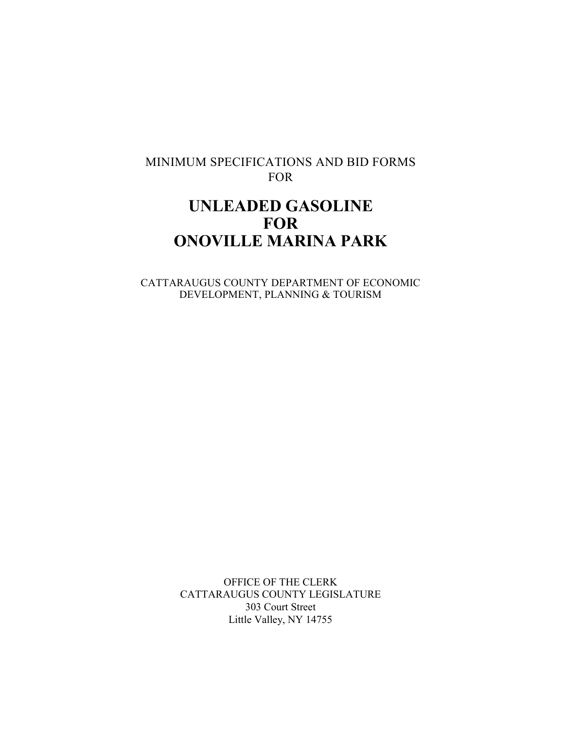# MINIMUM SPECIFICATIONS AND BID FORMS FOR

# **UNLEADED GASOLINE FOR ONOVILLE MARINA PARK**

CATTARAUGUS COUNTY DEPARTMENT OF ECONOMIC DEVELOPMENT, PLANNING & TOURISM

> OFFICE OF THE CLERK CATTARAUGUS COUNTY LEGISLATURE 303 Court Street Little Valley, NY 14755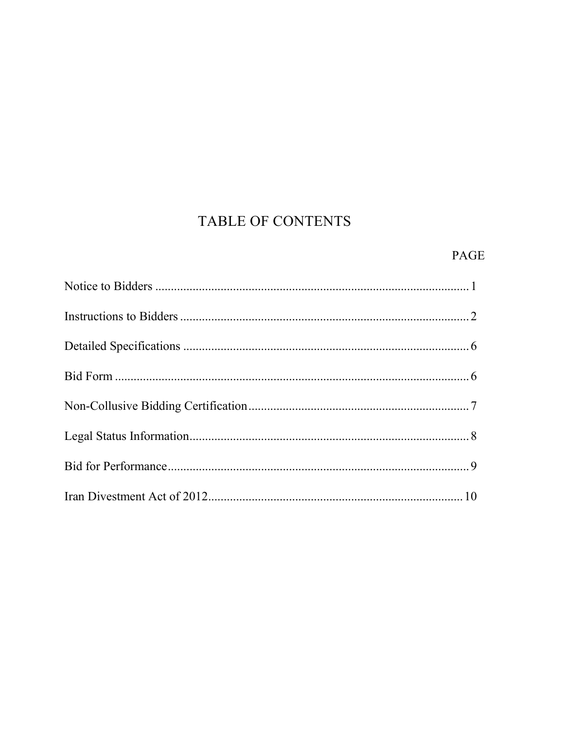# TABLE OF CONTENTS

# PAGE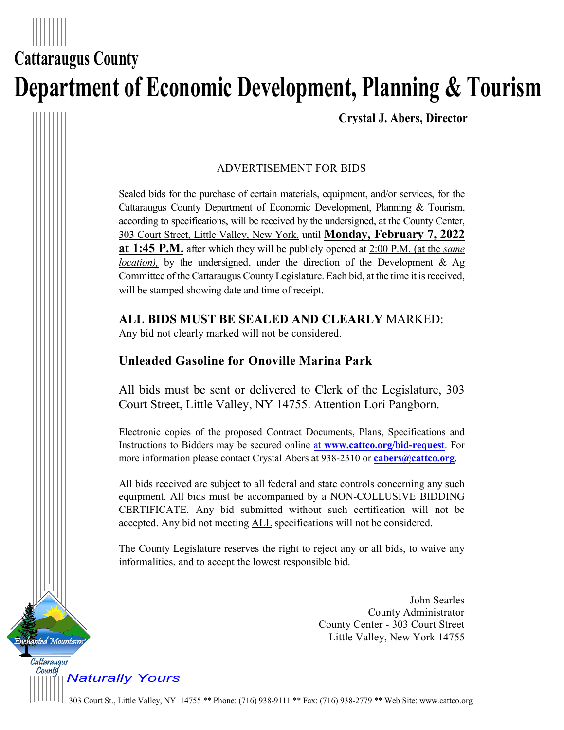# **Cattaraugus County Department of Economic Development, Planning & Tourism**

**Crystal J. Abers, Director**

## ADVERTISEMENT FOR BIDS

Sealed bids for the purchase of certain materials, equipment, and/or services, for the Cattaraugus County Department of Economic Development, Planning & Tourism, according to specifications, will be received by the undersigned, at the County Center, 303 Court Street, Little Valley, New York, until **Monday, February 7, 2022 at 1:45 P.M.** after which they will be publicly opened at 2:00 P.M. (at the *same location*), by the undersigned, under the direction of the Development & Ag Committee of the Cattaraugus County Legislature. Each bid, at the time it is received, will be stamped showing date and time of receipt.

**ALL BIDS MUST BE SEALED AND CLEARLY** MARKED:

Any bid not clearly marked will not be considered.

# **Unleaded Gasoline for Onoville Marina Park**

All bids must be sent or delivered to Clerk of the Legislature, 303 Court Street, Little Valley, NY 14755. Attention Lori Pangborn.

Electronic copies of the proposed Contract Documents, Plans, Specifications and Instructions to Bidders may be secured online at **www.cattco.org/bid-request**. For more information please contact Crystal Abers at 938-2310 or **[cabers@cattco.org](mailto:cabers@cattco.org)**.

All bids received are subject to all federal and state controls concerning any such equipment. All bids must be accompanied by a NON-COLLUSIVE BIDDING CERTIFICATE. Any bid submitted without such certification will not be accepted. Any bid not meeting ALL specifications will not be considered.

The County Legislature reserves the right to reject any or all bids, to waive any informalities, and to accept the lowest responsible bid.

> John Searles County Administrator County Center - 303 Court Street Little Valley, New York 14755

*Naturally Yours*

anted Mountains

Cattaraugus County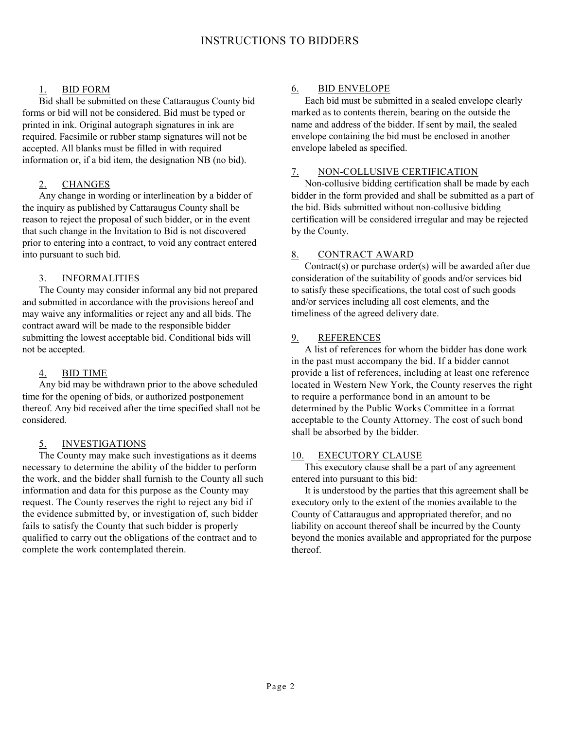#### 1. BID FORM

Bid shall be submitted on these Cattaraugus County bid forms or bid will not be considered. Bid must be typed or printed in ink. Original autograph signatures in ink are required. Facsimile or rubber stamp signatures will not be accepted. All blanks must be filled in with required information or, if a bid item, the designation NB (no bid).

#### 2. CHANGES

Any change in wording or interlineation by a bidder of the inquiry as published by Cattaraugus County shall be reason to reject the proposal of such bidder, or in the event that such change in the Invitation to Bid is not discovered prior to entering into a contract, to void any contract entered into pursuant to such bid.

#### 3. INFORMALITIES

The County may consider informal any bid not prepared and submitted in accordance with the provisions hereof and may waive any informalities or reject any and all bids. The contract award will be made to the responsible bidder submitting the lowest acceptable bid. Conditional bids will not be accepted.

#### 4. BID TIME

Any bid may be withdrawn prior to the above scheduled time for the opening of bids, or authorized postponement thereof. Any bid received after the time specified shall not be considered.

#### 5. INVESTIGATIONS

The County may make such investigations as it deems necessary to determine the ability of the bidder to perform the work, and the bidder shall furnish to the County all such information and data for this purpose as the County may request. The County reserves the right to reject any bid if the evidence submitted by, or investigation of, such bidder fails to satisfy the County that such bidder is properly qualified to carry out the obligations of the contract and to complete the work contemplated therein.

#### 6. BID ENVELOPE

Each bid must be submitted in a sealed envelope clearly marked as to contents therein, bearing on the outside the name and address of the bidder. If sent by mail, the sealed envelope containing the bid must be enclosed in another envelope labeled as specified.

#### 7. NON-COLLUSIVE CERTIFICATION

Non-collusive bidding certification shall be made by each bidder in the form provided and shall be submitted as a part of the bid. Bids submitted without non-collusive bidding certification will be considered irregular and may be rejected by the County.

#### 8. CONTRACT AWARD

Contract(s) or purchase order(s) will be awarded after due consideration of the suitability of goods and/or services bid to satisfy these specifications, the total cost of such goods and/or services including all cost elements, and the timeliness of the agreed delivery date.

#### 9. REFERENCES

A list of references for whom the bidder has done work in the past must accompany the bid. If a bidder cannot provide a list of references, including at least one reference located in Western New York, the County reserves the right to require a performance bond in an amount to be determined by the Public Works Committee in a format acceptable to the County Attorney. The cost of such bond shall be absorbed by the bidder.

#### 10. EXECUTORY CLAUSE

This executory clause shall be a part of any agreement entered into pursuant to this bid:

It is understood by the parties that this agreement shall be executory only to the extent of the monies available to the County of Cattaraugus and appropriated therefor, and no liability on account thereof shall be incurred by the County beyond the monies available and appropriated for the purpose thereof.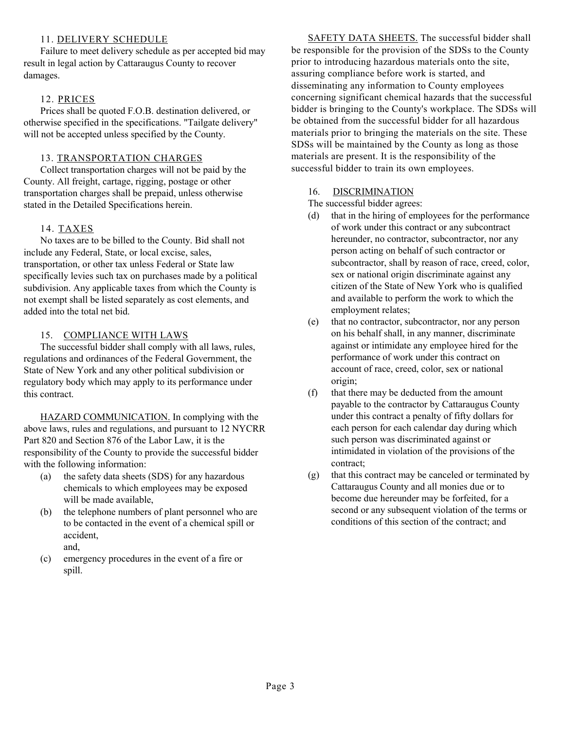#### 11. DELIVERY SCHEDULE

Failure to meet delivery schedule as per accepted bid may result in legal action by Cattaraugus County to recover damages.

#### 12. PRICES

Prices shall be quoted F.O.B. destination delivered, or otherwise specified in the specifications. "Tailgate delivery" will not be accepted unless specified by the County.

#### 13. TRANSPORTATION CHARGES

Collect transportation charges will not be paid by the County. All freight, cartage, rigging, postage or other transportation charges shall be prepaid, unless otherwise stated in the Detailed Specifications herein.

#### 14. TAXES

No taxes are to be billed to the County. Bid shall not include any Federal, State, or local excise, sales, transportation, or other tax unless Federal or State law specifically levies such tax on purchases made by a political subdivision. Any applicable taxes from which the County is not exempt shall be listed separately as cost elements, and added into the total net bid.

#### 15. COMPLIANCE WITH LAWS

The successful bidder shall comply with all laws, rules, regulations and ordinances of the Federal Government, the State of New York and any other political subdivision or regulatory body which may apply to its performance under this contract.

HAZARD COMMUNICATION. In complying with the above laws, rules and regulations, and pursuant to 12 NYCRR Part 820 and Section 876 of the Labor Law, it is the responsibility of the County to provide the successful bidder with the following information:

- (a) the safety data sheets (SDS) for any hazardous chemicals to which employees may be exposed will be made available,
- (b) the telephone numbers of plant personnel who are to be contacted in the event of a chemical spill or accident, and,
- (c) emergency procedures in the event of a fire or spill.

SAFETY DATA SHEETS. The successful bidder shall be responsible for the provision of the SDSs to the County prior to introducing hazardous materials onto the site, assuring compliance before work is started, and disseminating any information to County employees concerning significant chemical hazards that the successful bidder is bringing to the County's workplace. The SDSs will be obtained from the successful bidder for all hazardous materials prior to bringing the materials on the site. These SDSs will be maintained by the County as long as those materials are present. It is the responsibility of the successful bidder to train its own employees.

#### 16. DISCRIMINATION

The successful bidder agrees:

- (d) that in the hiring of employees for the performance of work under this contract or any subcontract hereunder, no contractor, subcontractor, nor any person acting on behalf of such contractor or subcontractor, shall by reason of race, creed, color, sex or national origin discriminate against any citizen of the State of New York who is qualified and available to perform the work to which the employment relates;
- (e) that no contractor, subcontractor, nor any person on his behalf shall, in any manner, discriminate against or intimidate any employee hired for the performance of work under this contract on account of race, creed, color, sex or national origin;
- (f) that there may be deducted from the amount payable to the contractor by Cattaraugus County under this contract a penalty of fifty dollars for each person for each calendar day during which such person was discriminated against or intimidated in violation of the provisions of the contract;
- (g) that this contract may be canceled or terminated by Cattaraugus County and all monies due or to become due hereunder may be forfeited, for a second or any subsequent violation of the terms or conditions of this section of the contract; and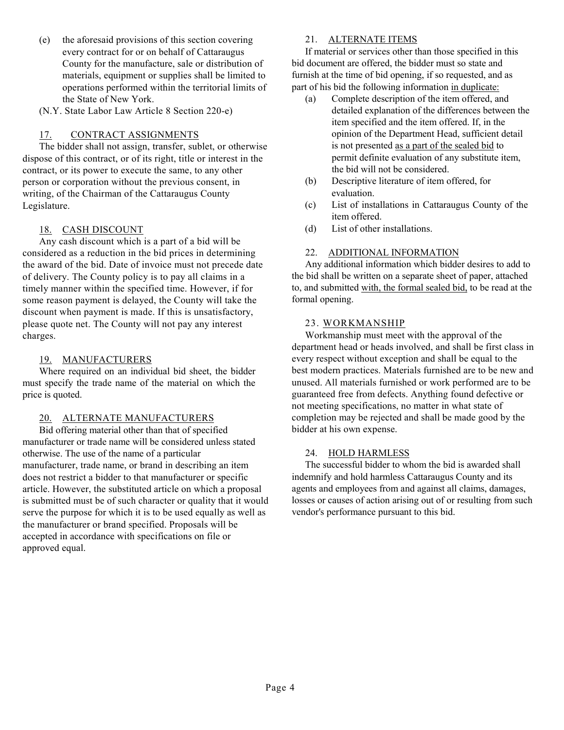- (e) the aforesaid provisions of this section covering every contract for or on behalf of Cattaraugus County for the manufacture, sale or distribution of materials, equipment or supplies shall be limited to operations performed within the territorial limits of the State of New York.
- (N.Y. State Labor Law Article 8 Section 220-e)

#### 17. CONTRACT ASSIGNMENTS

The bidder shall not assign, transfer, sublet, or otherwise dispose of this contract, or of its right, title or interest in the contract, or its power to execute the same, to any other person or corporation without the previous consent, in writing, of the Chairman of the Cattaraugus County Legislature.

#### 18. CASH DISCOUNT

Any cash discount which is a part of a bid will be considered as a reduction in the bid prices in determining the award of the bid. Date of invoice must not precede date of delivery. The County policy is to pay all claims in a timely manner within the specified time. However, if for some reason payment is delayed, the County will take the discount when payment is made. If this is unsatisfactory, please quote net. The County will not pay any interest charges.

#### 19. MANUFACTURERS

Where required on an individual bid sheet, the bidder must specify the trade name of the material on which the price is quoted.

#### 20. ALTERNATE MANUFACTURERS

Bid offering material other than that of specified manufacturer or trade name will be considered unless stated otherwise. The use of the name of a particular manufacturer, trade name, or brand in describing an item does not restrict a bidder to that manufacturer or specific article. However, the substituted article on which a proposal is submitted must be of such character or quality that it would serve the purpose for which it is to be used equally as well as the manufacturer or brand specified. Proposals will be accepted in accordance with specifications on file or approved equal.

#### 21. ALTERNATE ITEMS

If material or services other than those specified in this bid document are offered, the bidder must so state and furnish at the time of bid opening, if so requested, and as part of his bid the following information in duplicate:

- (a) Complete description of the item offered, and detailed explanation of the differences between the item specified and the item offered. If, in the opinion of the Department Head, sufficient detail is not presented as a part of the sealed bid to permit definite evaluation of any substitute item, the bid will not be considered.
- (b) Descriptive literature of item offered, for evaluation.
- (c) List of installations in Cattaraugus County of the item offered.
- (d) List of other installations.

#### 22. ADDITIONAL INFORMATION

Any additional information which bidder desires to add to the bid shall be written on a separate sheet of paper, attached to, and submitted with, the formal sealed bid, to be read at the formal opening.

#### 23. WORKMANSHIP

Workmanship must meet with the approval of the department head or heads involved, and shall be first class in every respect without exception and shall be equal to the best modern practices. Materials furnished are to be new and unused. All materials furnished or work performed are to be guaranteed free from defects. Anything found defective or not meeting specifications, no matter in what state of completion may be rejected and shall be made good by the bidder at his own expense.

#### 24. HOLD HARMLESS

The successful bidder to whom the bid is awarded shall indemnify and hold harmless Cattaraugus County and its agents and employees from and against all claims, damages, losses or causes of action arising out of or resulting from such vendor's performance pursuant to this bid.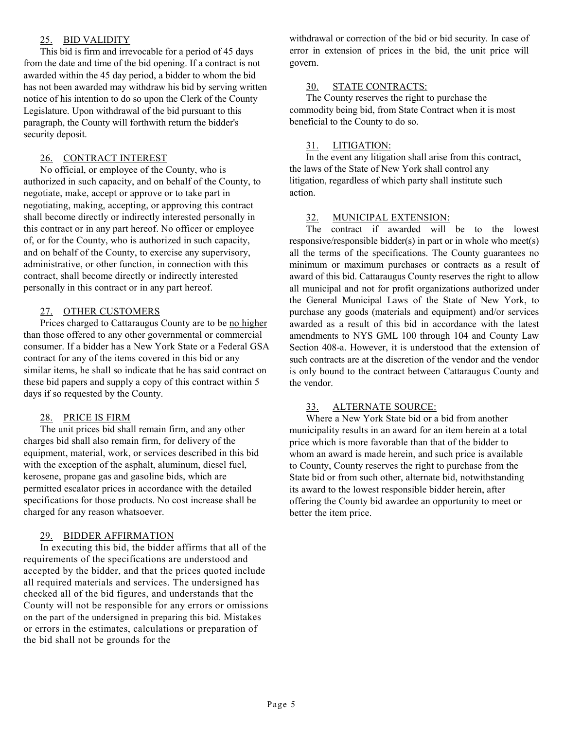#### 25. BID VALIDITY

This bid is firm and irrevocable for a period of 45 days from the date and time of the bid opening. If a contract is not awarded within the 45 day period, a bidder to whom the bid has not been awarded may withdraw his bid by serving written notice of his intention to do so upon the Clerk of the County Legislature. Upon withdrawal of the bid pursuant to this paragraph, the County will forthwith return the bidder's security deposit.

#### 26. CONTRACT INTEREST

No official, or employee of the County, who is authorized in such capacity, and on behalf of the County, to negotiate, make, accept or approve or to take part in negotiating, making, accepting, or approving this contract shall become directly or indirectly interested personally in this contract or in any part hereof. No officer or employee of, or for the County, who is authorized in such capacity, and on behalf of the County, to exercise any supervisory, administrative, or other function, in connection with this contract, shall become directly or indirectly interested personally in this contract or in any part hereof.

#### 27. OTHER CUSTOMERS

Prices charged to Cattaraugus County are to be no higher than those offered to any other governmental or commercial consumer. If a bidder has a New York State or a Federal GSA contract for any of the items covered in this bid or any similar items, he shall so indicate that he has said contract on these bid papers and supply a copy of this contract within 5 days if so requested by the County.

#### 28. PRICE IS FIRM

The unit prices bid shall remain firm, and any other charges bid shall also remain firm, for delivery of the equipment, material, work, or services described in this bid with the exception of the asphalt, aluminum, diesel fuel, kerosene, propane gas and gasoline bids, which are permitted escalator prices in accordance with the detailed specifications for those products. No cost increase shall be charged for any reason whatsoever.

#### 29. BIDDER AFFIRMATION

In executing this bid, the bidder affirms that all of the requirements of the specifications are understood and accepted by the bidder, and that the prices quoted include all required materials and services. The undersigned has checked all of the bid figures, and understands that the County will not be responsible for any errors or omissions on the part of the undersigned in preparing this bid. Mistakes or errors in the estimates, calculations or preparation of the bid shall not be grounds for the

withdrawal or correction of the bid or bid security. In case of error in extension of prices in the bid, the unit price will govern.

#### 30. STATE CONTRACTS:

The County reserves the right to purchase the commodity being bid, from State Contract when it is most beneficial to the County to do so.

#### 31. LITIGATION:

In the event any litigation shall arise from this contract, the laws of the State of New York shall control any litigation, regardless of which party shall institute such action.

#### 32. MUNICIPAL EXTENSION:

The contract if awarded will be to the lowest responsive/responsible bidder(s) in part or in whole who meet(s) all the terms of the specifications. The County guarantees no minimum or maximum purchases or contracts as a result of award of this bid. Cattaraugus County reserves the right to allow all municipal and not for profit organizations authorized under the General Municipal Laws of the State of New York, to purchase any goods (materials and equipment) and/or services awarded as a result of this bid in accordance with the latest amendments to NYS GML 100 through 104 and County Law Section 408-a. However, it is understood that the extension of such contracts are at the discretion of the vendor and the vendor is only bound to the contract between Cattaraugus County and the vendor.

#### 33. ALTERNATE SOURCE:

Where a New York State bid or a bid from another municipality results in an award for an item herein at a total price which is more favorable than that of the bidder to whom an award is made herein, and such price is available to County, County reserves the right to purchase from the State bid or from such other, alternate bid, notwithstanding its award to the lowest responsible bidder herein, after offering the County bid awardee an opportunity to meet or better the item price.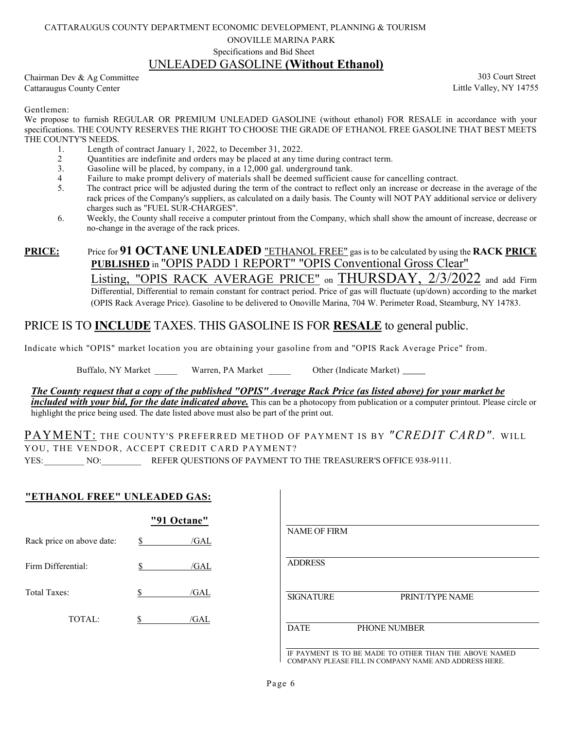#### CATTARAUGUS COUNTY DEPARTMENT ECONOMIC DEVELOPMENT, PLANNING & TOURISM

ONOVILLE MARINA PARK

#### Specifications and Bid Sheet UNLEADED GASOLINE **(Without Ethanol)**

Chairman Dev & Ag Committee Cattaraugus County Center

303 Court Street Little Valley, NY 14755

Gentlemen:

We propose to furnish REGULAR OR PREMIUM UNLEADED GASOLINE (without ethanol) FOR RESALE in accordance with your specifications. THE COUNTY RESERVES THE RIGHT TO CHOOSE THE GRADE OF ETHANOL FREE GASOLINE THAT BEST MEETS THE COUNTY'S NEEDS.<br>1. Length of

- 1. Length of contract January 1, 2022, to December 31, 2022.<br>2 Ouantities are indefinite and orders may be placed at any time
- 2 Quantities are indefinite and orders may be placed at any time during contract term.<br>3. Gasoline will be placed, by company, in a 12,000 gal, underground tank.
- 3. Gasoline will be placed, by company, in a  $12,000$  gal. underground tank.<br>4 Failure to make prompt delivery of materials shall be deemed sufficient c
- 4 Failure to make prompt delivery of materials shall be deemed sufficient cause for cancelling contract.<br>5. The contract price will be adjusted during the term of the contract to reflect only an increase or decrease
- The contract price will be adjusted during the term of the contract to reflect only an increase or decrease in the average of the rack prices of the Company's suppliers, as calculated on a daily basis. The County will NOT PAY additional service or delivery charges such as "FUEL SUR-CHARGES".
- 6. Weekly, the County shall receive a computer printout from the Company, which shall show the amount of increase, decrease or no-change in the average of the rack prices.

#### **PRICE:** Price for **91 OCTANE UNLEADED** "ETHANOL FREE" gas is to be calculated by using the **RACK PRICE PUBLISHED** in "OPIS PADD 1 REPORT" "OPIS Conventional Gross Clear" Listing, "OPIS RACK AVERAGE PRICE" on THURSDAY, 2/3/2022 and add Firm Differential, Differential to remain constant for contract period. Price of gas will fluctuate (up/down) according to the market (OPIS Rack Average Price). Gasoline to be delivered to Onoville Marina, 704 W. Perimeter Road, Steamburg, NY 14783.

## PRICE IS TO **INCLUDE** TAXES. THIS GASOLINE IS FOR **RESALE** to general public.

Indicate which "OPIS" market location you are obtaining your gasoline from and "OPIS Rack Average Price" from.

Buffalo, NY Market Warren, PA Market Other (Indicate Market)

*The County request that a copy of the published "OPIS" Average Rack Price (as listed above) for your market be included with your bid, for the date indicated above.* This can be a photocopy from publication or a computer printout. Please circle or highlight the price being used. The date listed above must also be part of the print out.

## PAYMENT: THE COUNTY'S PREFERRED METHOD OF PAYMENT IS BY *"CREDIT CARD".* WILL YOU, THE VENDOR, ACCEPT CREDIT CARD PAYMENT?

YES: NO: REFER QUESTIONS OF PAYMENT TO THE TREASURER'S OFFICE 938-9111.

#### **"ETHANOL FREE" UNLEADED GAS:**

|                           | "91 Octane" |      |
|---------------------------|-------------|------|
| Rack price on above date: | \$          | /GAL |
| Firm Differential:        | S.          | /GAL |
| Total Taxes:              | \$          | /GAL |
| TOTAL:                    | S           | /GAL |

| <b>NAME OF FIRM</b> |                                                        |
|---------------------|--------------------------------------------------------|
| <b>ADDRESS</b>      |                                                        |
| <b>SIGNATURE</b>    | PRINT/TYPE NAME                                        |
|                     |                                                        |
| <b>DATE</b>         | PHONE NUMBER                                           |
|                     | IF PAYMENT IS TO BE MADE TO OTHER THAN THE ABOVE NAMED |

IF PAYMENT IS TO BE MADE TO OTHER THAN THE ABOVE NAMED COMPANY PLEASE FILL IN COMPANY NAME AND ADDRESS HERE.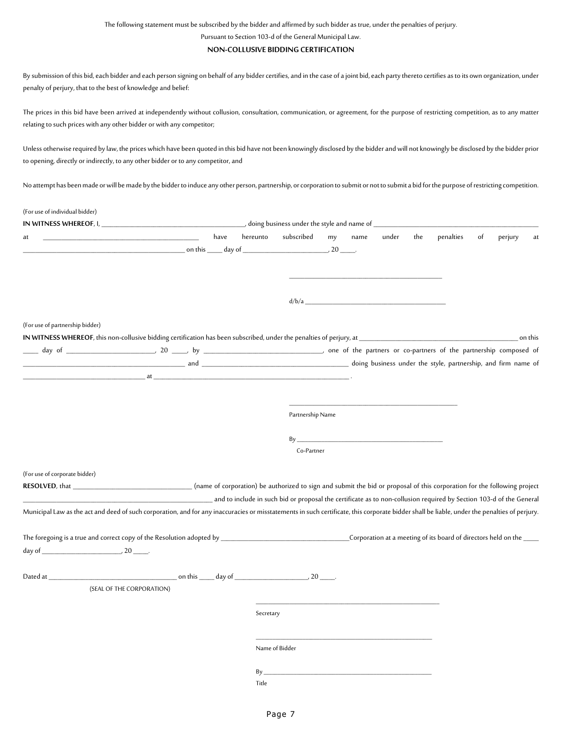The following statement must be subscribed by the bidder and affirmed by such bidder as true, under the penalties of perjury.

Pursuant to Section 103-d of the General Municipal Law.

#### **NON-COLLUSIVE BIDDING CERTIFICATION**

By submission of this bid, each bidder and each person signing on behalf of any bidder certifies, and in the case of a joint bid, each party thereto certifies as to its own organization, under penalty of perjury, that to the best of knowledge and belief:

The prices in this bid have been arrived at independently without collusion, consultation, communication, or agreement, for the purpose of restricting competition, as to any matter relating to such prices with any other bidder or with any competitor;

Unless otherwise required by law, the prices which have been quoted in this bid have not been knowingly disclosed by the bidder and will not knowingly be disclosed by the bidder prior to opening, directly or indirectly, to any other bidder or to any competitor, and

No attempt has been made or will be made by the bidder to induce any other person, partnership, or corporation to submit or not to submit a bid for the purpose of restricting competition.

| (For use of individual bidder)                                                                                                                                                               |                                                                                                                                                                                                                                |      |           |                                                                                                                                                                                                                                |    |      |       |     |           |    |         |         |
|----------------------------------------------------------------------------------------------------------------------------------------------------------------------------------------------|--------------------------------------------------------------------------------------------------------------------------------------------------------------------------------------------------------------------------------|------|-----------|--------------------------------------------------------------------------------------------------------------------------------------------------------------------------------------------------------------------------------|----|------|-------|-----|-----------|----|---------|---------|
|                                                                                                                                                                                              |                                                                                                                                                                                                                                |      |           |                                                                                                                                                                                                                                |    |      |       |     |           |    |         |         |
| at                                                                                                                                                                                           |                                                                                                                                                                                                                                | have | hereunto  | subscribed                                                                                                                                                                                                                     | my | name | under | the | penalties | of | perjury | at      |
|                                                                                                                                                                                              |                                                                                                                                                                                                                                |      |           | $\sim$ 20                                                                                                                                                                                                                      |    |      |       |     |           |    |         |         |
|                                                                                                                                                                                              |                                                                                                                                                                                                                                |      |           |                                                                                                                                                                                                                                |    |      |       |     |           |    |         |         |
|                                                                                                                                                                                              |                                                                                                                                                                                                                                |      |           |                                                                                                                                                                                                                                |    |      |       |     |           |    |         |         |
|                                                                                                                                                                                              |                                                                                                                                                                                                                                |      |           |                                                                                                                                                                                                                                |    |      |       |     |           |    |         |         |
|                                                                                                                                                                                              |                                                                                                                                                                                                                                |      |           |                                                                                                                                                                                                                                |    |      |       |     |           |    |         |         |
| (For use of partnership bidder)                                                                                                                                                              |                                                                                                                                                                                                                                |      |           |                                                                                                                                                                                                                                |    |      |       |     |           |    |         |         |
|                                                                                                                                                                                              |                                                                                                                                                                                                                                |      |           |                                                                                                                                                                                                                                |    |      |       |     |           |    |         | on this |
|                                                                                                                                                                                              |                                                                                                                                                                                                                                |      |           |                                                                                                                                                                                                                                |    |      |       |     |           |    |         |         |
|                                                                                                                                                                                              |                                                                                                                                                                                                                                |      |           |                                                                                                                                                                                                                                |    |      |       |     |           |    |         |         |
|                                                                                                                                                                                              | at the contract of the contract of the contract of the contract of the contract of the contract of the contract of the contract of the contract of the contract of the contract of the contract of the contract of the contrac |      |           |                                                                                                                                                                                                                                |    |      |       |     |           |    |         |         |
|                                                                                                                                                                                              |                                                                                                                                                                                                                                |      |           |                                                                                                                                                                                                                                |    |      |       |     |           |    |         |         |
|                                                                                                                                                                                              |                                                                                                                                                                                                                                |      |           |                                                                                                                                                                                                                                |    |      |       |     |           |    |         |         |
|                                                                                                                                                                                              |                                                                                                                                                                                                                                |      |           | Partnership Name                                                                                                                                                                                                               |    |      |       |     |           |    |         |         |
|                                                                                                                                                                                              |                                                                                                                                                                                                                                |      |           |                                                                                                                                                                                                                                |    |      |       |     |           |    |         |         |
|                                                                                                                                                                                              |                                                                                                                                                                                                                                |      |           | By                                                                                                                                                                                                                             |    |      |       |     |           |    |         |         |
|                                                                                                                                                                                              |                                                                                                                                                                                                                                |      |           | Co-Partner                                                                                                                                                                                                                     |    |      |       |     |           |    |         |         |
|                                                                                                                                                                                              |                                                                                                                                                                                                                                |      |           |                                                                                                                                                                                                                                |    |      |       |     |           |    |         |         |
| (For use of corporate bidder)                                                                                                                                                                |                                                                                                                                                                                                                                |      |           |                                                                                                                                                                                                                                |    |      |       |     |           |    |         |         |
| RESOLVED, that ______________________________(name of corporation) be authorized to sign and submit the bid or proposal of this corporation for the following project                        |                                                                                                                                                                                                                                |      |           |                                                                                                                                                                                                                                |    |      |       |     |           |    |         |         |
|                                                                                                                                                                                              |                                                                                                                                                                                                                                |      |           | and to include in such bid or proposal the certificate as to non-collusion required by Section 103-d of the General (1976) and to include in such bid or proposal the certificate as to non-collusion required by Section 103- |    |      |       |     |           |    |         |         |
| Municipal Law as the act and deed of such corporation, and for any inaccuracies or misstatements in such certificate, this corporate bidder shall be liable, under the penalties of perjury. |                                                                                                                                                                                                                                |      |           |                                                                                                                                                                                                                                |    |      |       |     |           |    |         |         |
|                                                                                                                                                                                              |                                                                                                                                                                                                                                |      |           |                                                                                                                                                                                                                                |    |      |       |     |           |    |         |         |
|                                                                                                                                                                                              |                                                                                                                                                                                                                                |      |           |                                                                                                                                                                                                                                |    |      |       |     |           |    |         |         |
|                                                                                                                                                                                              |                                                                                                                                                                                                                                |      |           |                                                                                                                                                                                                                                |    |      |       |     |           |    |         |         |
|                                                                                                                                                                                              |                                                                                                                                                                                                                                |      |           |                                                                                                                                                                                                                                |    |      |       |     |           |    |         |         |
|                                                                                                                                                                                              |                                                                                                                                                                                                                                |      |           |                                                                                                                                                                                                                                |    |      |       |     |           |    |         |         |
|                                                                                                                                                                                              | (SEAL OF THE CORPORATION)                                                                                                                                                                                                      |      |           |                                                                                                                                                                                                                                |    |      |       |     |           |    |         |         |
|                                                                                                                                                                                              |                                                                                                                                                                                                                                |      |           |                                                                                                                                                                                                                                |    |      |       |     |           |    |         |         |
|                                                                                                                                                                                              |                                                                                                                                                                                                                                |      | Secretary |                                                                                                                                                                                                                                |    |      |       |     |           |    |         |         |
|                                                                                                                                                                                              |                                                                                                                                                                                                                                |      |           |                                                                                                                                                                                                                                |    |      |       |     |           |    |         |         |
|                                                                                                                                                                                              |                                                                                                                                                                                                                                |      |           |                                                                                                                                                                                                                                |    |      |       |     |           |    |         |         |
|                                                                                                                                                                                              |                                                                                                                                                                                                                                |      |           | Name of Bidder                                                                                                                                                                                                                 |    |      |       |     |           |    |         |         |
|                                                                                                                                                                                              |                                                                                                                                                                                                                                |      | $By_$     |                                                                                                                                                                                                                                |    |      |       |     |           |    |         |         |
|                                                                                                                                                                                              |                                                                                                                                                                                                                                |      | Title     |                                                                                                                                                                                                                                |    |      |       |     |           |    |         |         |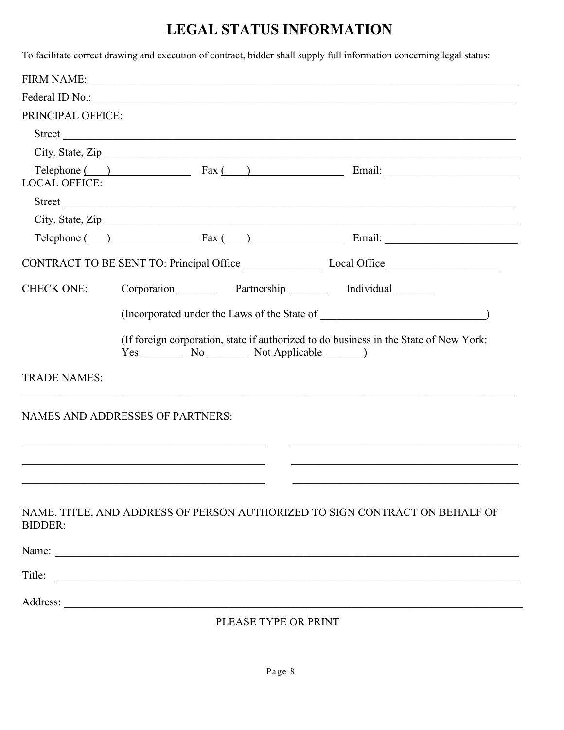# **LEGAL STATUS INFORMATION**

To facilitate correct drawing and execution of contract, bidder shall supply full information concerning legal status:

|                                         |                          | FIRM NAME:                                                                                                                                                                                                                                                                                                                                                          |  |
|-----------------------------------------|--------------------------|---------------------------------------------------------------------------------------------------------------------------------------------------------------------------------------------------------------------------------------------------------------------------------------------------------------------------------------------------------------------|--|
|                                         |                          |                                                                                                                                                                                                                                                                                                                                                                     |  |
| PRINCIPAL OFFICE:                       |                          |                                                                                                                                                                                                                                                                                                                                                                     |  |
|                                         |                          |                                                                                                                                                                                                                                                                                                                                                                     |  |
|                                         |                          | City, State, Zip                                                                                                                                                                                                                                                                                                                                                    |  |
| <b>LOCAL OFFICE:</b>                    |                          | $\text{Telephone}$ $\qquad \qquad$ $\qquad \qquad$ $\qquad$ $\qquad \qquad$ $\qquad$ $\qquad$ $\qquad$ $\qquad$ $\qquad$ $\qquad$ $\qquad$ $\qquad$ $\qquad$ $\qquad$ $\qquad$ $\qquad$ $\qquad$ $\qquad$ $\qquad$ $\qquad$ $\qquad$ $\qquad$ $\qquad$ $\qquad$ $\qquad$ $\qquad$ $\qquad$ $\qquad$ $\qquad$ $\qquad$ $\qquad$ $\qquad$ $\qquad$ $\qquad$           |  |
|                                         |                          |                                                                                                                                                                                                                                                                                                                                                                     |  |
|                                         |                          | City, State, Zip                                                                                                                                                                                                                                                                                                                                                    |  |
|                                         |                          | $\text{Telephone}$ $\qquad \qquad$ $\qquad \qquad$ $\qquad \qquad$ $\qquad \qquad$ $\qquad \qquad$ $\qquad \qquad$ $\qquad$ $\qquad \qquad$ $\qquad$ $\qquad$ $\qquad$ $\qquad$ $\qquad$ $\qquad$ $\qquad$ $\qquad$ $\qquad$ $\qquad$ $\qquad$ $\qquad$ $\qquad$ $\qquad$ $\qquad$ $\qquad$ $\qquad$ $\qquad$ $\qquad$ $\qquad$ $\qquad$ $\qquad$ $\qquad$ $\qquad$ |  |
|                                         |                          |                                                                                                                                                                                                                                                                                                                                                                     |  |
| <b>CHECK ONE:</b>                       |                          | Corporation Partnership Individual                                                                                                                                                                                                                                                                                                                                  |  |
|                                         |                          |                                                                                                                                                                                                                                                                                                                                                                     |  |
|                                         |                          |                                                                                                                                                                                                                                                                                                                                                                     |  |
|                                         | Yes No No Not Applicable | (If foreign corporation, state if authorized to do business in the State of New York:                                                                                                                                                                                                                                                                               |  |
| <b>TRADE NAMES:</b>                     |                          |                                                                                                                                                                                                                                                                                                                                                                     |  |
| <b>NAMES AND ADDRESSES OF PARTNERS:</b> |                          |                                                                                                                                                                                                                                                                                                                                                                     |  |
|                                         |                          |                                                                                                                                                                                                                                                                                                                                                                     |  |
|                                         |                          |                                                                                                                                                                                                                                                                                                                                                                     |  |
|                                         |                          |                                                                                                                                                                                                                                                                                                                                                                     |  |
|                                         |                          |                                                                                                                                                                                                                                                                                                                                                                     |  |
| <b>BIDDER:</b>                          |                          | NAME, TITLE, AND ADDRESS OF PERSON AUTHORIZED TO SIGN CONTRACT ON BEHALF OF                                                                                                                                                                                                                                                                                         |  |
|                                         | Name:                    |                                                                                                                                                                                                                                                                                                                                                                     |  |
| Title:                                  |                          |                                                                                                                                                                                                                                                                                                                                                                     |  |
|                                         |                          |                                                                                                                                                                                                                                                                                                                                                                     |  |
|                                         | PLEASE TYPE OR PRINT     |                                                                                                                                                                                                                                                                                                                                                                     |  |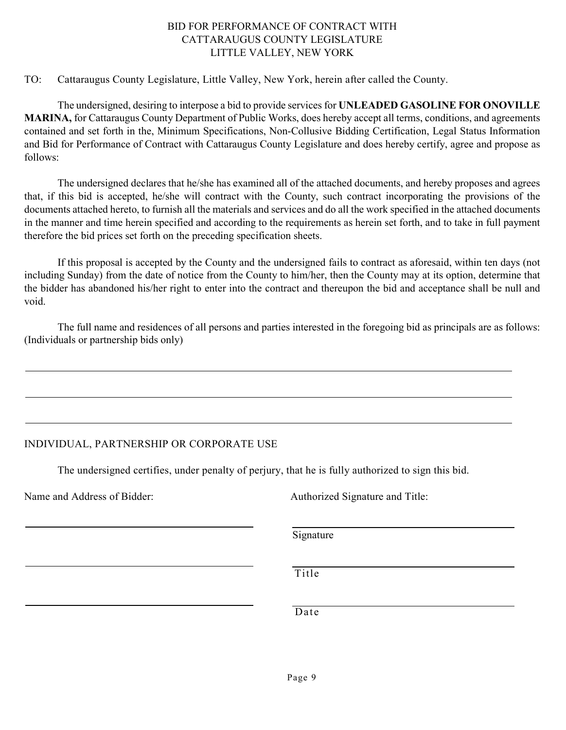#### BID FOR PERFORMANCE OF CONTRACT WITH CATTARAUGUS COUNTY LEGISLATURE LITTLE VALLEY, NEW YORK

#### TO: Cattaraugus County Legislature, Little Valley, New York, herein after called the County.

The undersigned, desiring to interpose a bid to provide services for **UNLEADED GASOLINE FOR ONOVILLE MARINA,** for Cattaraugus County Department of Public Works, does hereby accept all terms, conditions, and agreements contained and set forth in the, Minimum Specifications, Non-Collusive Bidding Certification, Legal Status Information and Bid for Performance of Contract with Cattaraugus County Legislature and does hereby certify, agree and propose as follows:

The undersigned declares that he/she has examined all of the attached documents, and hereby proposes and agrees that, if this bid is accepted, he/she will contract with the County, such contract incorporating the provisions of the documents attached hereto, to furnish all the materials and services and do all the work specified in the attached documents in the manner and time herein specified and according to the requirements as herein set forth, and to take in full payment therefore the bid prices set forth on the preceding specification sheets.

If this proposal is accepted by the County and the undersigned fails to contract as aforesaid, within ten days (not including Sunday) from the date of notice from the County to him/her, then the County may at its option, determine that the bidder has abandoned his/her right to enter into the contract and thereupon the bid and acceptance shall be null and void.

The full name and residences of all persons and parties interested in the foregoing bid as principals are as follows: (Individuals or partnership bids only)

### INDIVIDUAL, PARTNERSHIP OR CORPORATE USE

The undersigned certifies, under penalty of perjury, that he is fully authorized to sign this bid.

Name and Address of Bidder: Authorized Signature and Title:

Signature

Title

Date